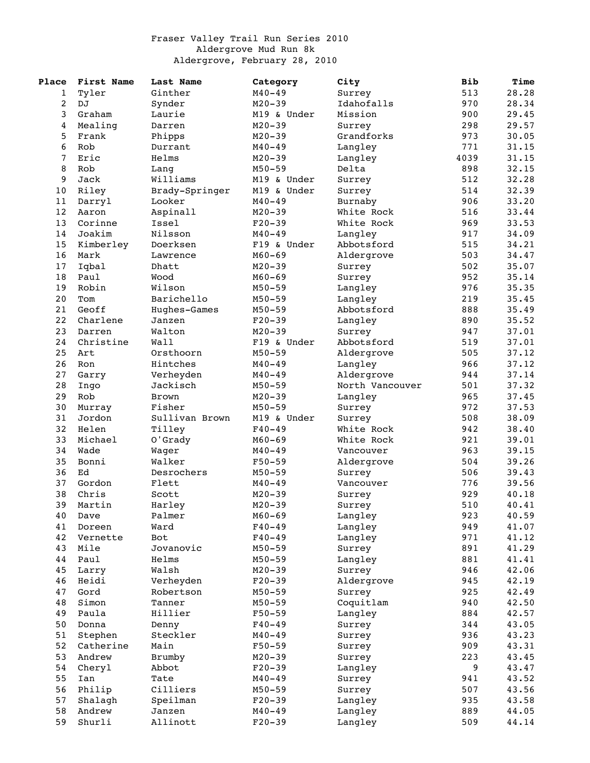## Fraser Valley Trail Run Series 2010 Aldergrove Mud Run 8k Aldergrove, February 28, 2010

| Place | First Name | Last Name      | Category    | City            | <b>Bib</b> | Time  |
|-------|------------|----------------|-------------|-----------------|------------|-------|
| 1     | Tyler      | Ginther        | $M40 - 49$  | Surrey          | 513        | 28.28 |
| 2     | DJ         | Synder         | $M20 - 39$  | Idahofalls      | 970        | 28.34 |
| 3     | Graham     | Laurie         | M19 & Under | Mission         | 900        | 29.45 |
| 4     | Mealing    | Darren         | $M20 - 39$  | Surrey          | 298        | 29.57 |
| 5     | Frank      | Phipps         | $M20 - 39$  | Grandforks      | 973        | 30.05 |
| 6     | Rob        | Durrant        | $M40 - 49$  | Langley         | 771        | 31.15 |
| 7     | Eric       | Helms          | $M20 - 39$  | Langley         | 4039       | 31.15 |
| 8     | Rob        | Lang           | $M50 - 59$  | Delta           | 898        | 32.15 |
| 9     | Jack       | Williams       | M19 & Under | Surrey          | 512        | 32.28 |
| 10    | Riley      | Brady-Springer | M19 & Under | Surrey          | 514        | 32.39 |
| 11    | Darryl     | Looker         | $M40 - 49$  | Burnaby         | 906        | 33.20 |
| 12    | Aaron      | Aspinall       | $M20 - 39$  | White Rock      | 516        | 33.44 |
| 13    | Corinne    | Issel          | $F20-39$    | White Rock      | 969        | 33.53 |
| 14    | Joakim     | Nilsson        | $M40 - 49$  | Langley         | 917        | 34.09 |
| 15    | Kimberley  | Doerksen       | F19 & Under | Abbotsford      | 515        | 34.21 |
| 16    | Mark       |                | $M60 - 69$  |                 | 503        | 34.47 |
|       |            | Lawrence       |             | Aldergrove      |            |       |
| 17    | Iqbal      | Dhatt          | $M20 - 39$  | Surrey          | 502        | 35.07 |
| 18    | Paul       | Wood           | $M60 - 69$  | Surrey          | 952        | 35.14 |
| 19    | Robin      | Wilson         | $M50 - 59$  | Langley         | 976        | 35.35 |
| 20    | Tom        | Barichello     | $M50 - 59$  | Langley         | 219        | 35.45 |
| 21    | Geoff      | Hughes-Games   | $M50 - 59$  | Abbotsford      | 888        | 35.49 |
| 22    | Charlene   | Janzen         | $F20-39$    | Langley         | 890        | 35.52 |
| 23    | Darren     | Walton         | $M20 - 39$  | Surrey          | 947        | 37.01 |
| 24    | Christine  | Wall           | F19 & Under | Abbotsford      | 519        | 37.01 |
| 25    | Art        | Orsthoorn      | $M50 - 59$  | Aldergrove      | 505        | 37.12 |
| 26    | Ron        | Hintches       | $M40 - 49$  | Langley         | 966        | 37.12 |
| 27    | Garry      | Verheyden      | $M40 - 49$  | Aldergrove      | 944        | 37.14 |
| 28    | Ingo       | Jackisch       | $M50 - 59$  | North Vancouver | 501        | 37.32 |
| 29    | Rob        | Brown          | $M20 - 39$  | Langley         | 965        | 37.45 |
| 30    | Murray     | Fisher         | $M50 - 59$  | Surrey          | 972        | 37.53 |
| 31    | Jordon     | Sullivan Brown | M19 & Under | Surrey          | 508        | 38.09 |
| 32    | Helen      | Tilley         | $F40 - 49$  | White Rock      | 942        | 38.40 |
| 33    | Michael    | O'Grady        | $M60 - 69$  | White Rock      | 921        | 39.01 |
| 34    | Wade       | Wager          | $M40 - 49$  | Vancouver       | 963        | 39.15 |
| 35    | Bonni      | Walker         | $F50 - 59$  | Aldergrove      | 504        | 39.26 |
| 36    | Ed         | Desrochers     | $M50 - 59$  | Surrey          | 506        | 39.43 |
| 37    | Gordon     | Flett          | $M40 - 49$  | Vancouver       | 776        | 39.56 |
| 38    | Chris      | Scott          | $M20 - 39$  | Surrey          | 929        | 40.18 |
| 39    | Martin     | Harley         | $M20 - 39$  | Surrey          | 510        | 40.41 |
| 40    | Dave       | Palmer         | $M60 - 69$  | Langley         | 923        | 40.59 |
| 41    | Doreen     | Ward           | $F40 - 49$  | Langley         | 949        | 41.07 |
| 42    | Vernette   | Bot            | $F40 - 49$  | Langley         | 971        | 41.12 |
| 43    | Mile       | Jovanovic      | $M50 - 59$  | Surrey          | 891        | 41.29 |
| 44    | Paul       | Helms          | $M50 - 59$  | Langley         | 881        | 41.41 |
| 45    | Larry      | Walsh          | $M20 - 39$  | Surrey          | 946        | 42.06 |
| 46    | Heidi      | Verheyden      | $F20-39$    | Aldergrove      | 945        | 42.19 |
| 47    | Gord       |                | $M50 - 59$  |                 | 925        |       |
|       |            | Robertson      |             | Surrey          |            | 42.49 |
| 48    | Simon      | Tanner         | $M50 - 59$  | Coquitlam       | 940        | 42.50 |
| 49    | Paula      | Hillier        | $F50 - 59$  | Langley         | 884        | 42.57 |
| 50    | Donna      | Denny          | $F40 - 49$  | Surrey          | 344        | 43.05 |
| 51    | Stephen    | Steckler       | $M40 - 49$  | Surrey          | 936        | 43.23 |
| 52    | Catherine  | Main           | $F50 - 59$  | Surrey          | 909        | 43.31 |
| 53    | Andrew     | Brumby         | $M20 - 39$  | Surrey          | 223        | 43.45 |
| 54    | Cheryl     | Abbot          | $F20-39$    | Langley         | 9          | 43.47 |
| 55    | Ian        | Tate           | $M40 - 49$  | Surrey          | 941        | 43.52 |
| 56    | Philip     | Cilliers       | $M50 - 59$  | Surrey          | 507        | 43.56 |
| 57    | Shalagh    | Speilman       | $F20 - 39$  | Langley         | 935        | 43.58 |
| 58    | Andrew     | Janzen         | $M40 - 49$  | Langley         | 889        | 44.05 |
| 59    | Shurli     | Allinott       | $F20-39$    | Langley         | 509        | 44.14 |